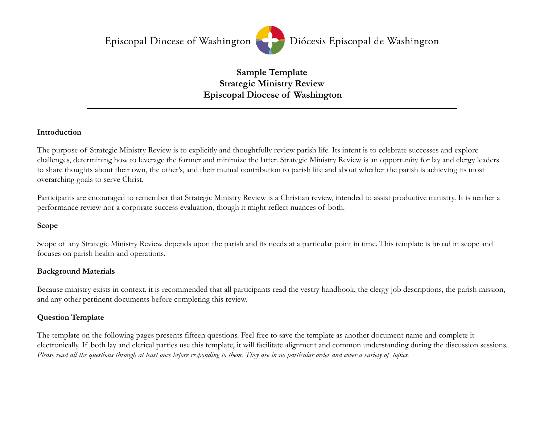Episcopal Diocese of Washington



#### **Sample Template Strategic Ministry Review Episcopal Diocese of Washington**

#### **Introduction**

The purpose of Strategic Ministry Review is to explicitly and thoughtfully review parish life. Its intent is to celebrate successes and explore challenges, determining how to leverage the former and minimize the latter. Strategic Ministry Review is an opportunity for lay and clergy leaders to share thoughts about their own, the other's, and their mutual contribution to parish life and about whether the parish is achieving its most overarching goals to serve Christ.

Participants are encouraged to remember that Strategic Ministry Review is a Christian review, intended to assist productive ministry. It is neither a performance review nor a corporate success evaluation, though it might reflect nuances of both.

#### **Scope**

Scope of any Strategic Ministry Review depends upon the parish and its needs at a particular point in time. This template is broad in scope and focuses on parish health and operations.

#### **Background Materials**

Because ministry exists in context, it is recommended that all participants read the vestry handbook, the clergy job descriptions, the parish mission, and any other pertinent documents before completing this review.

#### **Question Template**

The template on the following pages presents fifteen questions. Feel free to save the template as another document name and complete it electronically. If both lay and clerical parties use this template, it will facilitate alignment and common understanding during the discussion sessions. *Please read all the questions through at least once before responding to them. They are in no particular order and cover a variety of topics.*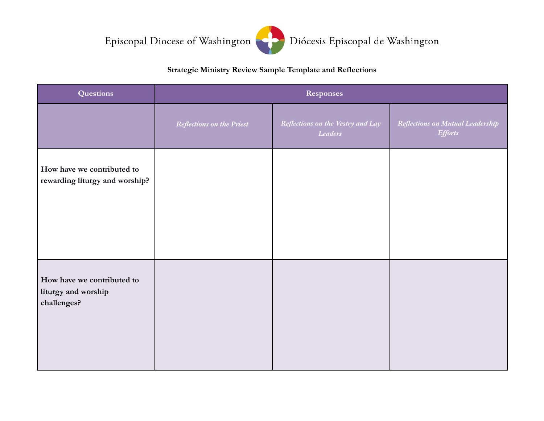Episcopal Diocese of Washington



#### Diócesis Episcopal de Washington

#### **Strategic Ministry Review Sample Template and Reflections**

| <b>Questions</b>                                                 | Responses                        |                                              |                                                    |
|------------------------------------------------------------------|----------------------------------|----------------------------------------------|----------------------------------------------------|
|                                                                  | <b>Reflections on the Priest</b> | Reflections on the Vestry and Lay<br>Leaders | Reflections on Mutual Leadership<br><b>Efforts</b> |
| How have we contributed to<br>rewarding liturgy and worship?     |                                  |                                              |                                                    |
| How have we contributed to<br>liturgy and worship<br>challenges? |                                  |                                              |                                                    |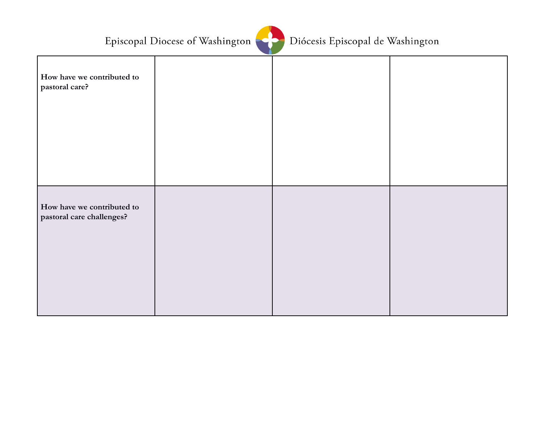

|                                                         | - - |  |
|---------------------------------------------------------|-----|--|
| How have we contributed to<br>pastoral care?            |     |  |
|                                                         |     |  |
| How have we contributed to<br>pastoral care challenges? |     |  |
|                                                         |     |  |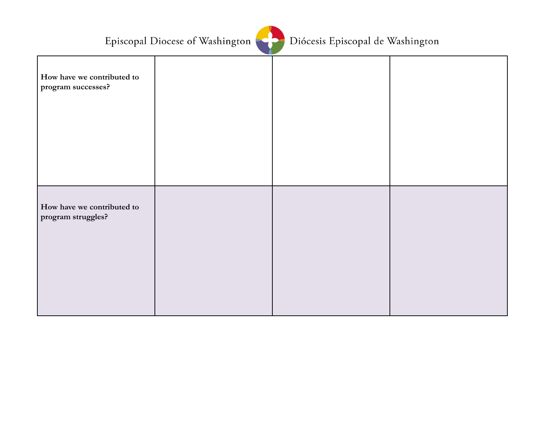

|                                                  | -- |  |
|--------------------------------------------------|----|--|
| How have we contributed to<br>program successes? |    |  |
|                                                  |    |  |
| How have we contributed to<br>program struggles? |    |  |
|                                                  |    |  |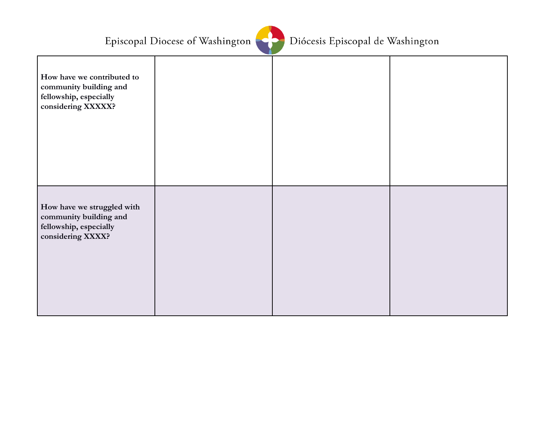

| How have we contributed to<br>community building and<br>fellowship, especially<br>considering XXXXX? |  |  |
|------------------------------------------------------------------------------------------------------|--|--|
| How have we struggled with<br>community building and<br>fellowship, especially<br>considering XXXX?  |  |  |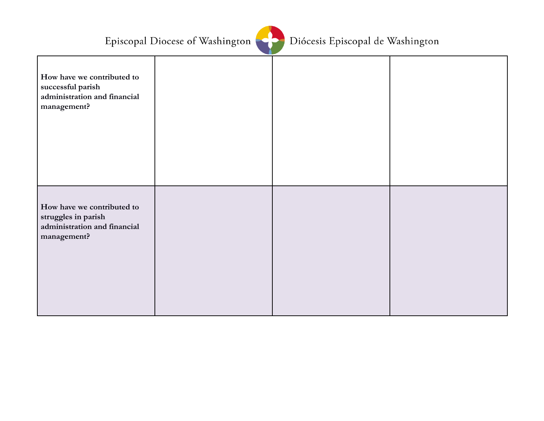

|                                                                                                  | . |  |
|--------------------------------------------------------------------------------------------------|---|--|
| How have we contributed to<br>successful parish<br>administration and financial<br>management?   |   |  |
| How have we contributed to<br>struggles in parish<br>administration and financial<br>management? |   |  |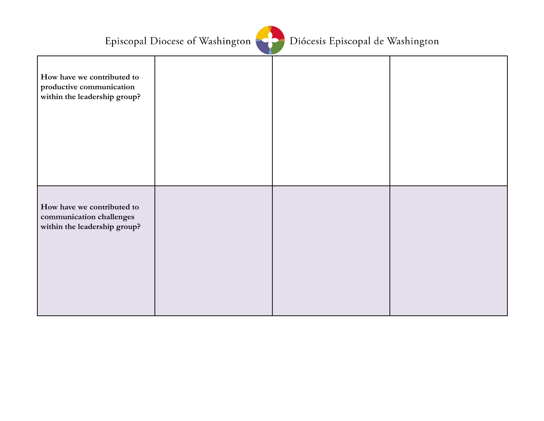

| How have we contributed to<br>productive communication<br>within the leadership group? |  |  |
|----------------------------------------------------------------------------------------|--|--|
| How have we contributed to<br>communication challenges<br>within the leadership group? |  |  |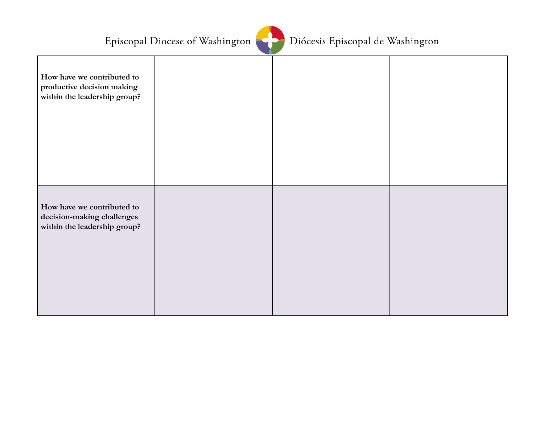

|                                                                                          | . . |  |
|------------------------------------------------------------------------------------------|-----|--|
| How have we contributed to<br>productive decision making<br>within the leadership group? |     |  |
| How have we contributed to<br>decision-making challenges<br>within the leadership group? |     |  |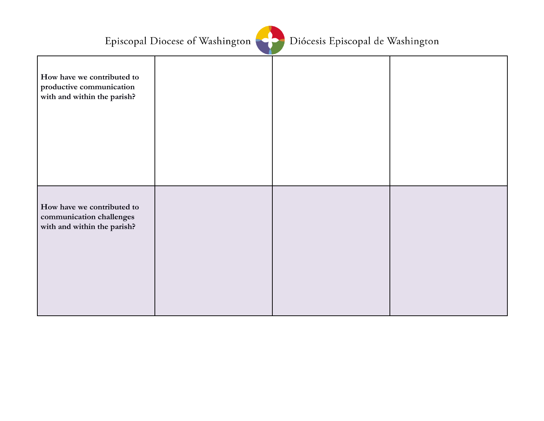

| How have we contributed to<br>productive communication<br>with and within the parish? |  |  |
|---------------------------------------------------------------------------------------|--|--|
| How have we contributed to<br>communication challenges<br>with and within the parish? |  |  |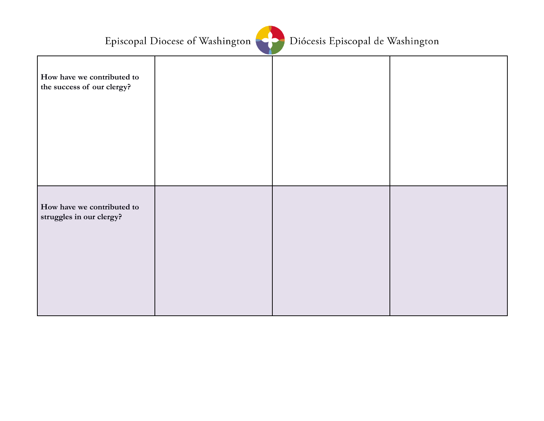

|                                                          | . |  |
|----------------------------------------------------------|---|--|
| How have we contributed to<br>the success of our clergy? |   |  |
| How have we contributed to<br>struggles in our clergy?   |   |  |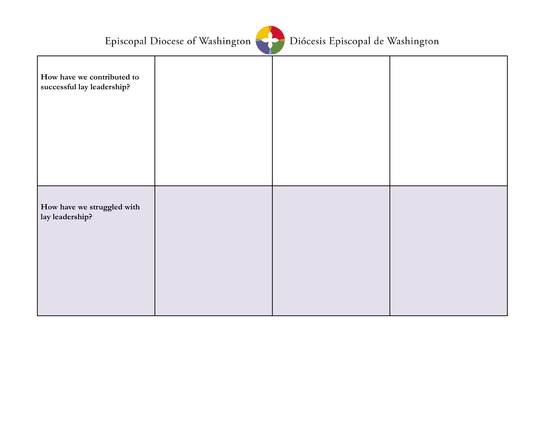

|                                                          | - 12 |  |
|----------------------------------------------------------|------|--|
| How have we contributed to<br>successful lay leadership? |      |  |
| How have we struggled with<br>lay leadership?            |      |  |